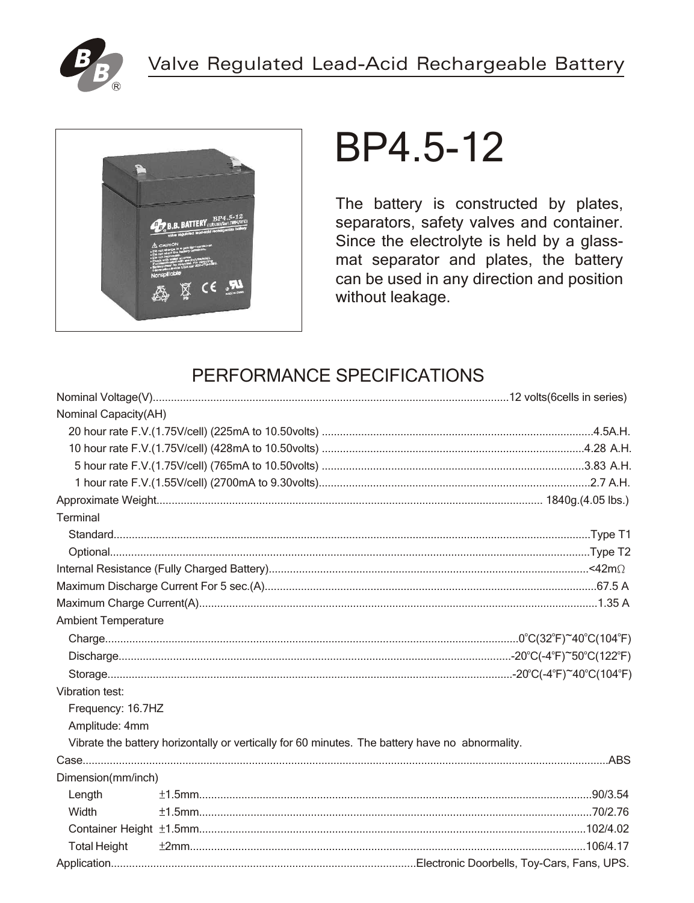



# BP4.5-12

The battery is constructed by plates, separators, safety valves and container. Since the electrolyte is held by a glassmat separator and plates, the battery can be used in any direction and position without leakage.

## PERFORMANCE SPECIFICATIONS

| Nominal Capacity(AH)       |                                                                                                 |  |
|----------------------------|-------------------------------------------------------------------------------------------------|--|
|                            |                                                                                                 |  |
|                            |                                                                                                 |  |
|                            |                                                                                                 |  |
|                            |                                                                                                 |  |
|                            |                                                                                                 |  |
| Terminal                   |                                                                                                 |  |
|                            |                                                                                                 |  |
|                            |                                                                                                 |  |
|                            |                                                                                                 |  |
|                            |                                                                                                 |  |
|                            |                                                                                                 |  |
| <b>Ambient Temperature</b> |                                                                                                 |  |
|                            |                                                                                                 |  |
|                            |                                                                                                 |  |
|                            |                                                                                                 |  |
| Vibration test:            |                                                                                                 |  |
| Frequency: 16.7HZ          |                                                                                                 |  |
| Amplitude: 4mm             |                                                                                                 |  |
|                            | Vibrate the battery horizontally or vertically for 60 minutes. The battery have no abnormality. |  |
|                            |                                                                                                 |  |
| Dimension(mm/inch)         |                                                                                                 |  |
| Length                     |                                                                                                 |  |
| Width                      |                                                                                                 |  |
|                            |                                                                                                 |  |
| <b>Total Height</b>        |                                                                                                 |  |
|                            |                                                                                                 |  |